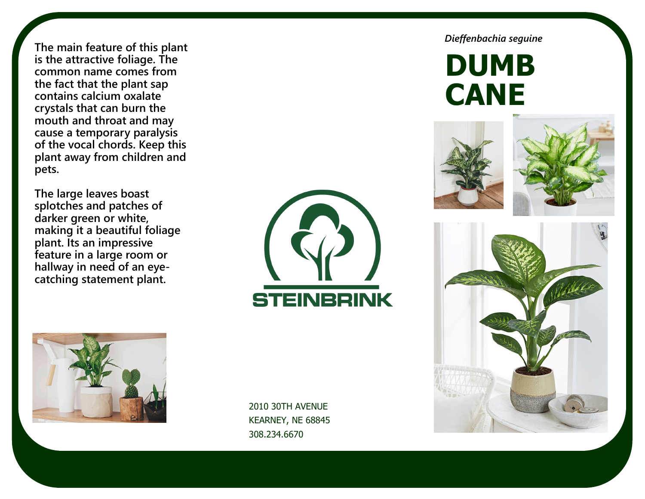**The main feature of this plant is the attractive foliage. The common name comes from the fact that the plant sap contains calcium oxalate crystals that can burn the mouth and throat and may cause a temporary paralysis of the vocal chords. Keep this plant away from children and pets.** 

**The large leaves boast splotches and patches of darker green or white, making it a beautiful foliage plant. Its an impressive feature in a large room or hallway in need of an eyecatching statement plant.** 



2010 30TH AVENUE KEARNEY, NE 68845 308.234.6670

*Dieffenbachia seguine*

**DUMB CANE**